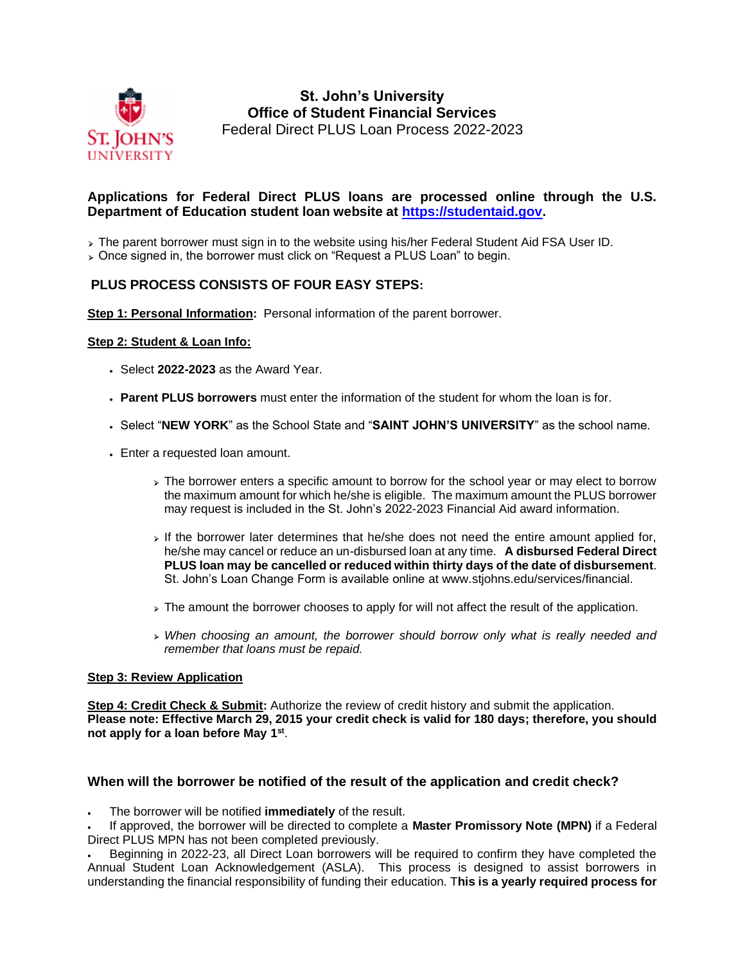

# **St. John's University Office of Student Financial Services** Federal Direct PLUS Loan Process 2022-2023

## **Applications for Federal Direct PLUS loans are processed online through the U.S. Department of Education student loan website at [https://studentaid.gov.](https://studentaid.gov/)**

> The parent borrower must sign in to the website using his/her Federal Student Aid FSA User ID.

> Once signed in, the borrower must click on "Request a PLUS Loan" to begin.

# **PLUS PROCESS CONSISTS OF FOUR EASY STEPS:**

**Step 1: Personal Information:** Personal information of the parent borrower.

#### **Step 2: Student & Loan Info:**

- Select **2022-2023** as the Award Year.
- **Parent PLUS borrowers** must enter the information of the student for whom the loan is for.
- Select "**NEW YORK**" as the School State and "**SAINT JOHN'S UNIVERSITY**" as the school name.
- Enter a requested loan amount.
	- The borrower enters a specific amount to borrow for the school year or may elect to borrow the maximum amount for which he/she is eligible. The maximum amount the PLUS borrower may request is included in the St. John's 2022-2023 Financial Aid award information.
	- $\triangleright$  If the borrower later determines that he/she does not need the entire amount applied for, he/she may cancel or reduce an un-disbursed loan at any time. **A disbursed Federal Direct PLUS loan may be cancelled or reduced within thirty days of the date of disbursement**. St. John's Loan Change Form is available online at www.stjohns.edu/services/financial.
	- > The amount the borrower chooses to apply for will not affect the result of the application.
	- *When choosing an amount, the borrower should borrow only what is really needed and remember that loans must be repaid.*

### **Step 3: Review Application**

**Step 4: Credit Check & Submit:** Authorize the review of credit history and submit the application. **Please note: Effective March 29, 2015 your credit check is valid for 180 days; therefore, you should not apply for a loan before May 1st** .

### **When will the borrower be notified of the result of the application and credit check?**

• The borrower will be notified **immediately** of the result.

• If approved, the borrower will be directed to complete a **Master Promissory Note (MPN)** if a Federal Direct PLUS MPN has not been completed previously.

• Beginning in 2022-23, all Direct Loan borrowers will be required to confirm they have completed the Annual Student Loan Acknowledgement (ASLA). This process is designed to assist borrowers in understanding the financial responsibility of funding their education. T**his is a yearly required process for**